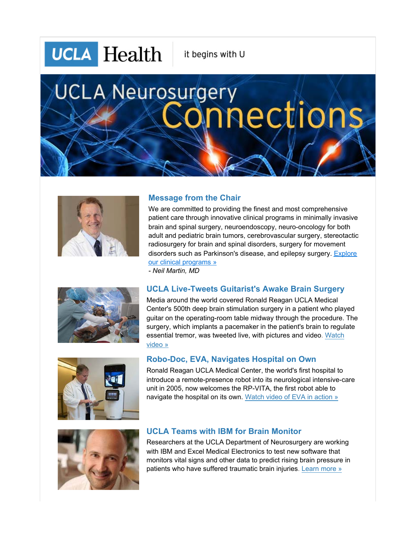**UCLA** Health

it begins with U

# **UCLA Neurosurgery** nections



## **Message from the Chair**

We are committed to providing the finest and most comprehensive patient care through innovative clinical programs in minimally invasive brain and spinal surgery, neuroendoscopy, neuro-oncology for both adult and pediatric brain tumors, cerebrovascular surgery, stereotactic radiosurgery for brain and spinal disorders, surgery for movement disorders such as Parkinson's disease, and epilepsy surgery. **Explore** our clinical programs »

*- Neil Martin, MD*



# **UCLA Live-Tweets Guitarist's Awake Brain Surgery**

Media around the world covered Ronald Reagan UCLA Medical Center's 500th deep brain stimulation surgery in a patient who played guitar on the operating-room table midway through the procedure. The surgery, which implants a pacemaker in the patient's brain to regulate [essential tremor, was tweeted live, with pictures and video. Watch](http://neurosurgery.ucla.edu/site.cfm?id=1384)  video »



### **Robo-Doc, EVA, Navigates Hospital on Own**

Ronald Reagan UCLA Medical Center, the world's first hospital to introduce a remote-presence robot into its neurological intensive-care unit in 2005, now welcomes the RP-VITA, the first robot able to navigate the hospital on its own. [Watch video of EVA in action »](http://neurosurgery.ucla.edu/body.cfm?id=1058)



### **UCLA Teams with IBM for Brain Monitor**

Researchers at the UCLA Department of Neurosurgery are working with IBM and Excel Medical Electronics to test new software that monitors vital signs and other data to predict rising brain pressure in patients who have suffered traumatic brain injuries. [Learn more »](http://www.smartplanet.com/blog/ideas-insights/how-best-to-treat-brain-trauma-analyze-big-data/313)